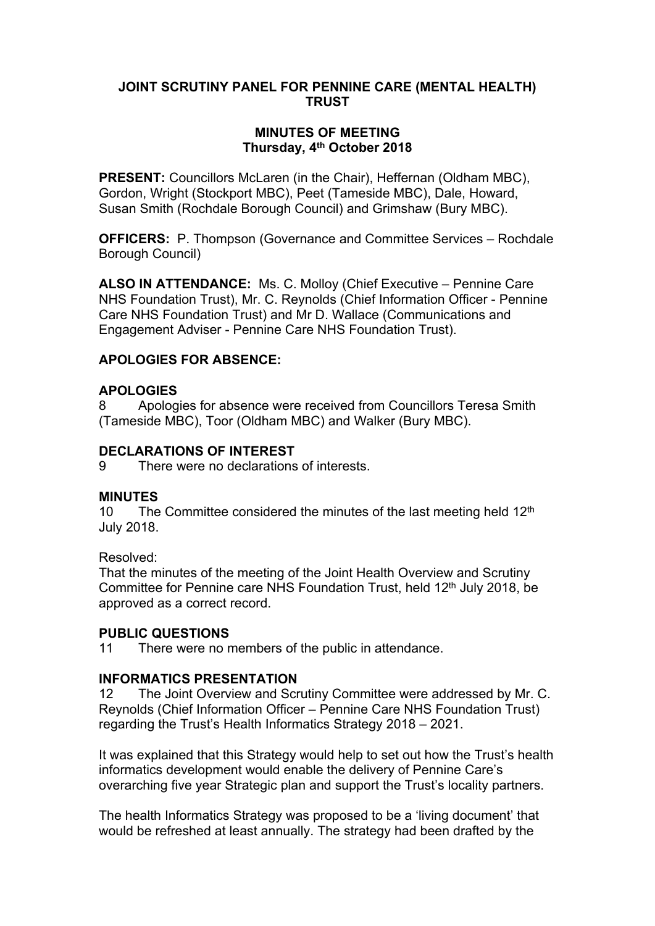## **JOINT SCRUTINY PANEL FOR PENNINE CARE (MENTAL HEALTH) TRUST**

## **MINUTES OF MEETING Thursday, 4 th October 2018**

**PRESENT:** Councillors McLaren (in the Chair), Heffernan (Oldham MBC), Gordon, Wright (Stockport MBC), Peet (Tameside MBC), Dale, Howard, Susan Smith (Rochdale Borough Council) and Grimshaw (Bury MBC).

**OFFICERS:** P. Thompson (Governance and Committee Services – Rochdale Borough Council)

**ALSO IN ATTENDANCE:** Ms. C. Molloy (Chief Executive – Pennine Care NHS Foundation Trust), Mr. C. Reynolds (Chief Information Officer - Pennine Care NHS Foundation Trust) and Mr D. Wallace (Communications and Engagement Adviser - Pennine Care NHS Foundation Trust).

## **APOLOGIES FOR ABSENCE:**

## **APOLOGIES**

8 Apologies for absence were received from Councillors Teresa Smith (Tameside MBC), Toor (Oldham MBC) and Walker (Bury MBC).

## **DECLARATIONS OF INTEREST**

9 There were no declarations of interests.

## **MINUTES**

10 The Committee considered the minutes of the last meeting held  $12<sup>th</sup>$ July 2018.

Resolved:

That the minutes of the meeting of the Joint Health Overview and Scrutiny Committee for Pennine care NHS Foundation Trust, held 12<sup>th</sup> July 2018, be approved as a correct record.

## **PUBLIC QUESTIONS**

11 There were no members of the public in attendance.

## **INFORMATICS PRESENTATION**

12 The Joint Overview and Scrutiny Committee were addressed by Mr. C. Reynolds (Chief Information Officer – Pennine Care NHS Foundation Trust) regarding the Trust's Health Informatics Strategy 2018 – 2021.

It was explained that this Strategy would help to set out how the Trust's health informatics development would enable the delivery of Pennine Care's overarching five year Strategic plan and support the Trust's locality partners.

The health Informatics Strategy was proposed to be a 'living document' that would be refreshed at least annually. The strategy had been drafted by the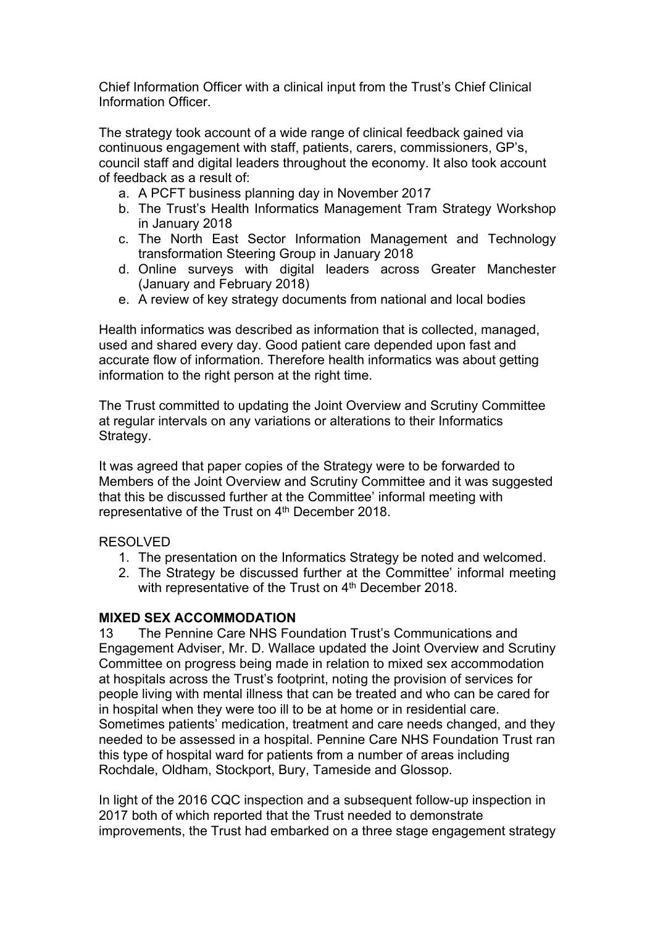Chief Information Officer with a clinical input from the Trust's Chief Clinical Information Officer.

The strategy took account of a wide range of clinical feedback gained via continuous engagement with staff, patients, carers, commissioners, GP's, council staff and digital leaders throughout the economy. It also took account of feedback as a result of:

- a. A PCFT business planning day in November 2017
- b. The Trust's Health Informatics Management Tram Strategy Workshop in January 2018
- c. The North East Sector Information Management and Technology transformation Steering Group in January 2018
- d. Online surveys with digital leaders across Greater Manchester (January and February 2018)
- e. A review of key strategy documents from national and local bodies

Health informatics was described as information that is collected, managed, used and shared every day. Good patient care depended upon fast and accurate flow of information. Therefore health informatics was about getting information to the right person at the right time.

The Trust committed to updating the Joint Overview and Scrutiny Committee at regular intervals on any variations or alterations to their Informatics Strategy.

It was agreed that paper copies of the Strategy were to be forwarded to Members of the Joint Overview and Scrutiny Committee and it was suggested that this be discussed further at the Committee' informal meeting with representative of the Trust on 4<sup>th</sup> December 2018.

#### RESOLVED

- 1. The presentation on the Informatics Strategy be noted and welcomed.
- 2. The Strategy be discussed further at the Committee' informal meeting with representative of the Trust on 4<sup>th</sup> December 2018.

#### **MIXED SEX ACCOMMODATION**

13 The Pennine Care NHS Foundation Trust's Communications and Engagement Adviser, Mr. D. Wallace updated the Joint Overview and Scrutiny Committee on progress being made in relation to mixed sex accommodation at hospitals across the Trust's footprint, noting the provision of services for people living with mental illness that can be treated and who can be cared for in hospital when they were too ill to be at home or in residential care. Sometimes patients' medication, treatment and care needs changed, and they needed to be assessed in a hospital. Pennine Care NHS Foundation Trust ran this type of hospital ward for patients from a number of areas including Rochdale, Oldham, Stockport, Bury, Tameside and Glossop.

In light of the 2016 CQC inspection and a subsequent follow-up inspection in 2017 both of which reported that the Trust needed to demonstrate improvements, the Trust had embarked on a three stage engagement strategy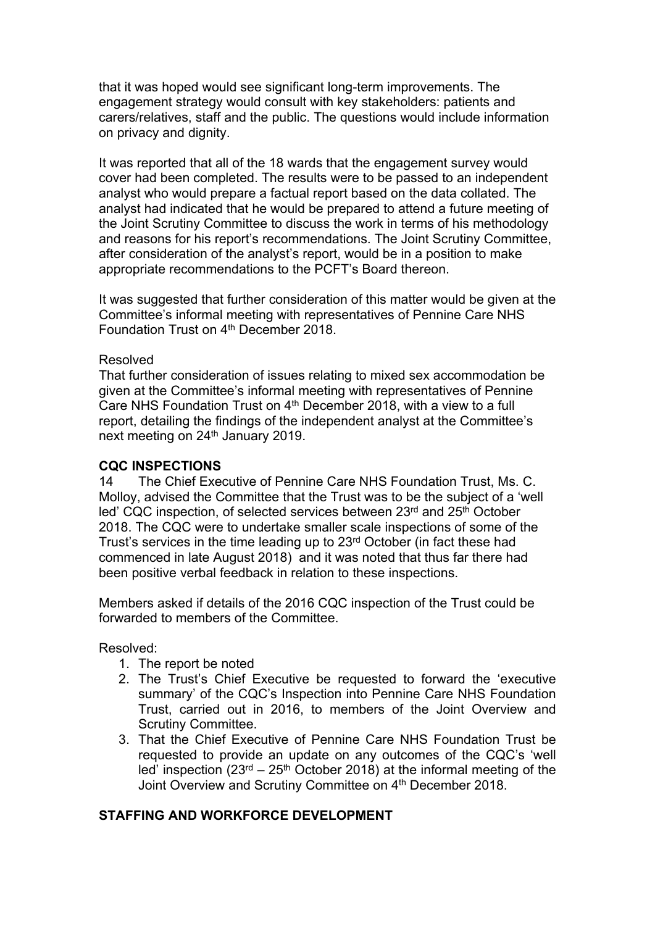that it was hoped would see significant long-term improvements. The engagement strategy would consult with key stakeholders: patients and carers/relatives, staff and the public. The questions would include information on privacy and dignity.

It was reported that all of the 18 wards that the engagement survey would cover had been completed. The results were to be passed to an independent analyst who would prepare a factual report based on the data collated. The analyst had indicated that he would be prepared to attend a future meeting of the Joint Scrutiny Committee to discuss the work in terms of his methodology and reasons for his report's recommendations. The Joint Scrutiny Committee, after consideration of the analyst's report, would be in a position to make appropriate recommendations to the PCFT's Board thereon.

It was suggested that further consideration of this matter would be given at the Committee's informal meeting with representatives of Pennine Care NHS Foundation Trust on 4<sup>th</sup> December 2018.

#### Resolved

That further consideration of issues relating to mixed sex accommodation be given at the Committee's informal meeting with representatives of Pennine Care NHS Foundation Trust on 4<sup>th</sup> December 2018, with a view to a full report, detailing the findings of the independent analyst at the Committee's next meeting on 24<sup>th</sup> January 2019.

## **CQC INSPECTIONS**

14 The Chief Executive of Pennine Care NHS Foundation Trust, Ms. C. Molloy, advised the Committee that the Trust was to be the subject of a 'well led' CQC inspection, of selected services between 23rd and 25<sup>th</sup> October 2018. The CQC were to undertake smaller scale inspections of some of the Trust's services in the time leading up to 23rd October (in fact these had commenced in late August 2018) and it was noted that thus far there had been positive verbal feedback in relation to these inspections.

Members asked if details of the 2016 CQC inspection of the Trust could be forwarded to members of the Committee.

Resolved:

- 1. The report be noted
- 2. The Trust's Chief Executive be requested to forward the 'executive summary' of the CQC's Inspection into Pennine Care NHS Foundation Trust, carried out in 2016, to members of the Joint Overview and Scrutiny Committee.
- 3. That the Chief Executive of Pennine Care NHS Foundation Trust be requested to provide an update on any outcomes of the CQC's 'well led' inspection  $(23^{rd} – 25^{th}$  October 2018) at the informal meeting of the Joint Overview and Scrutiny Committee on 4<sup>th</sup> December 2018.

## **STAFFING AND WORKFORCE DEVELOPMENT**